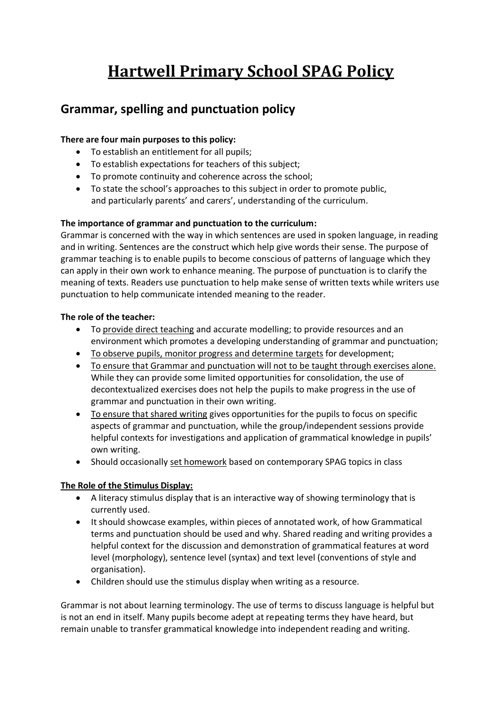# **Hartwell Primary School SPAG Policy**

## **Grammar, spelling and punctuation policy**

#### **There are four main purposes to this policy:**

- To establish an entitlement for all pupils;
- To establish expectations for teachers of this subject;
- To promote continuity and coherence across the school;
- To state the school's approaches to this subject in order to promote public, and particularly parents' and carers', understanding of the curriculum.

#### **The importance of grammar and punctuation to the curriculum:**

Grammar is concerned with the way in which sentences are used in spoken language, in reading and in writing. Sentences are the construct which help give words their sense. The purpose of grammar teaching is to enable pupils to become conscious of patterns of language which they can apply in their own work to enhance meaning. The purpose of punctuation is to clarify the meaning of texts. Readers use punctuation to help make sense of written texts while writers use punctuation to help communicate intended meaning to the reader.

#### **The role of the teacher:**

- To provide direct teaching and accurate modelling; to provide resources and an environment which promotes a developing understanding of grammar and punctuation;
- To observe pupils, monitor progress and determine targets for development;
- To ensure that Grammar and punctuation will not to be taught through exercises alone. While they can provide some limited opportunities for consolidation, the use of decontextualized exercises does not help the pupils to make progress in the use of grammar and punctuation in their own writing.
- To ensure that shared writing gives opportunities for the pupils to focus on specific aspects of grammar and punctuation, while the group/independent sessions provide helpful contexts for investigations and application of grammatical knowledge in pupils' own writing.
- Should occasionally set homework based on contemporary SPAG topics in class

#### **The Role of the Stimulus Display:**

- A literacy stimulus display that is an interactive way of showing terminology that is currently used.
- It should showcase examples, within pieces of annotated work, of how Grammatical terms and punctuation should be used and why. Shared reading and writing provides a helpful context for the discussion and demonstration of grammatical features at word level (morphology), sentence level (syntax) and text level (conventions of style and organisation).
- Children should use the stimulus display when writing as a resource.

Grammar is not about learning terminology. The use of terms to discuss language is helpful but is not an end in itself. Many pupils become adept at repeating terms they have heard, but remain unable to transfer grammatical knowledge into independent reading and writing.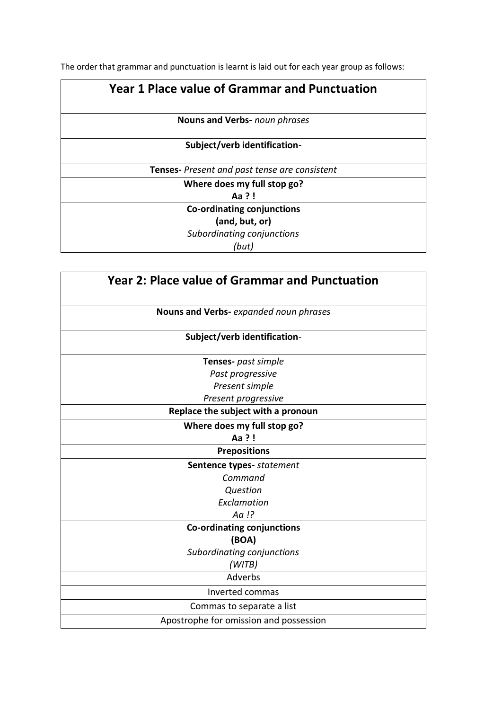The order that grammar and punctuation is learnt is laid out for each year group as follows:

### **Year 1 Place value of Grammar and Punctuation**

**Nouns and Verbs-** *noun phrases*

#### **Subject/verb identification***-*

**Tenses-** *Present and past tense are consistent*

**Where does my full stop go?**

**Aa ? !**

**Co-ordinating conjunctions (and, but, or)**

*Subordinating conjunctions* 

*(but)*

| Year 2: Place value of Grammar and Punctuation |
|------------------------------------------------|
| Nouns and Verbs- expanded noun phrases         |
| Subject/verb identification-                   |
| Tenses- past simple                            |
| Past progressive                               |
| Present simple                                 |
| Present progressive                            |
| Replace the subject with a pronoun             |
| Where does my full stop go?                    |
| Aa ?!                                          |
| <b>Prepositions</b>                            |
| Sentence types- statement                      |
| Command                                        |
| Question                                       |
| Exclamation                                    |
| Aa !?                                          |
| <b>Co-ordinating conjunctions</b>              |
| (BOA)                                          |
| Subordinating conjunctions                     |
| (WITB)                                         |
| Adverbs                                        |
| Inverted commas                                |
| Commas to separate a list                      |
| Apostrophe for omission and possession         |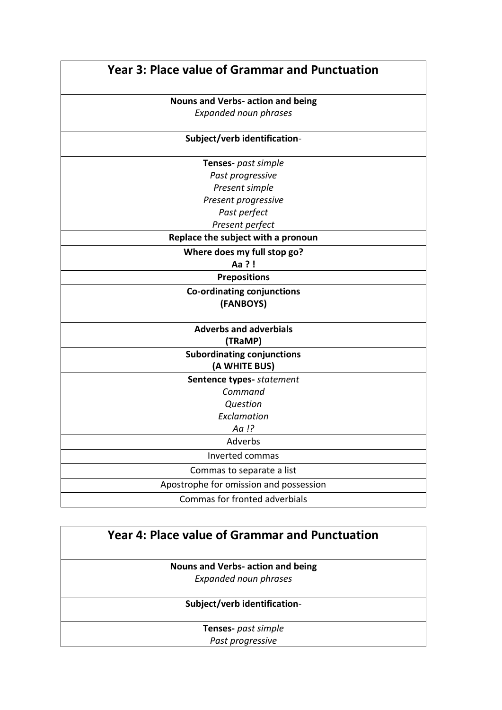| <b>Year 3: Place value of Grammar and Punctuation</b> |
|-------------------------------------------------------|
| <b>Nouns and Verbs- action and being</b>              |
| Expanded noun phrases                                 |
| Subject/verb identification-                          |
| Tenses- past simple                                   |
| Past progressive                                      |
| Present simple                                        |
| Present progressive                                   |
| Past perfect                                          |
| Present perfect                                       |
| Replace the subject with a pronoun                    |
| Where does my full stop go?                           |
| Aa ?!                                                 |
| <b>Prepositions</b>                                   |
| Co-ordinating conjunctions                            |
| (FANBOYS)                                             |
| <b>Adverbs and adverbials</b>                         |
| (TRaMP)                                               |
| <b>Subordinating conjunctions</b>                     |
| (A WHITE BUS)                                         |
| Sentence types- statement                             |
| Command                                               |
| Question                                              |
| Exclamation                                           |
| Aa !?                                                 |
| Adverbs                                               |
| Inverted commas                                       |
| Commas to separate a list                             |
| Apostrophe for omission and possession                |
| Commas for fronted adverbials                         |

| Year 4: Place value of Grammar and Punctuation |  |
|------------------------------------------------|--|
| Nouns and Verbs- action and being              |  |
| <b>Expanded noun phrases</b>                   |  |
| Subject/verb identification-                   |  |
| <b>Tenses-</b> past simple                     |  |
| Past progressive                               |  |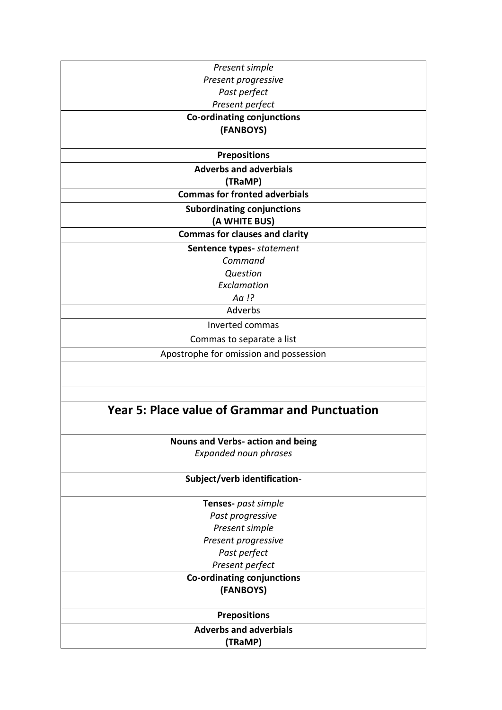| Present simple                                        |
|-------------------------------------------------------|
| Present progressive                                   |
| Past perfect                                          |
| Present perfect                                       |
| Co-ordinating conjunctions                            |
| (FANBOYS)                                             |
|                                                       |
| <b>Prepositions</b>                                   |
| <b>Adverbs and adverbials</b>                         |
| (TRaMP)                                               |
| <b>Commas for fronted adverbials</b>                  |
| <b>Subordinating conjunctions</b>                     |
| (A WHITE BUS)                                         |
| <b>Commas for clauses and clarity</b>                 |
| Sentence types- statement                             |
| Command                                               |
| <b>Question</b>                                       |
| Exclamation                                           |
| Aa !?                                                 |
| Adverbs                                               |
| Inverted commas                                       |
| Commas to separate a list                             |
| Apostrophe for omission and possession                |
|                                                       |
|                                                       |
|                                                       |
|                                                       |
| <b>Year 5: Place value of Grammar and Punctuation</b> |
|                                                       |
| Nouns and Verbs- action and being                     |
| <b>Expanded noun phrases</b>                          |
|                                                       |
| Subject/verb identification-                          |
| Tenses- past simple                                   |
| Past progressive                                      |
| Present simple                                        |
| Present progressive                                   |
| Past perfect                                          |
| Present perfect                                       |
| <b>Co-ordinating conjunctions</b>                     |
| (FANBOYS)                                             |
|                                                       |
| <b>Prepositions</b>                                   |
| <b>Adverbs and adverbials</b>                         |
| (TRaMP)                                               |
|                                                       |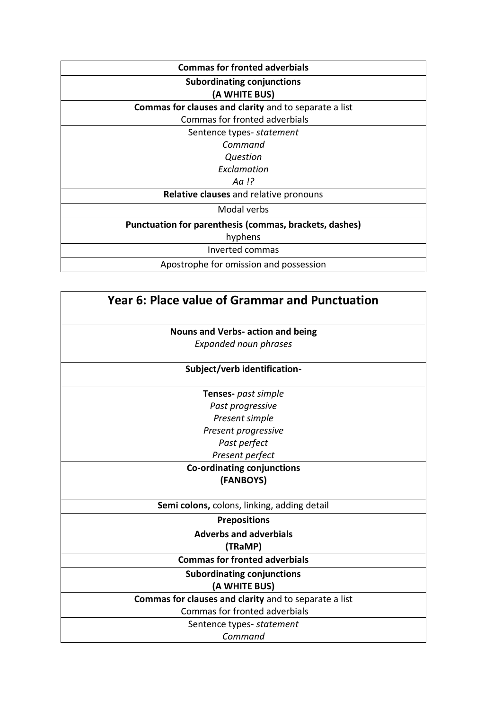| <b>Commas for fronted adverbials</b>                   |
|--------------------------------------------------------|
| <b>Subordinating conjunctions</b>                      |
| (A WHITE BUS)                                          |
| Commas for clauses and clarity and to separate a list  |
| Commas for fronted adverbials                          |
| Sentence types- statement                              |
| Command                                                |
| Question                                               |
| Exclamation                                            |
| Aa !?                                                  |
| Relative clauses and relative pronouns                 |
| Modal verbs                                            |
| Punctuation for parenthesis (commas, brackets, dashes) |
| hyphens                                                |
| Inverted commas                                        |
| Apostrophe for omission and possession                 |

| Year 6: Place value of Grammar and Punctuation        |
|-------------------------------------------------------|
| <b>Nouns and Verbs- action and being</b>              |
| <b>Expanded noun phrases</b>                          |
| Subject/verb identification-                          |
| <b>Tenses-</b> past simple                            |
| Past progressive                                      |
| Present simple                                        |
| Present progressive                                   |
| Past perfect                                          |
| Present perfect                                       |
| Co-ordinating conjunctions                            |
| (FANBOYS)                                             |
| Semi colons, colons, linking, adding detail           |
| <b>Prepositions</b>                                   |
| <b>Adverbs and adverbials</b>                         |
| (TRaMP)                                               |
| <b>Commas for fronted adverbials</b>                  |
| <b>Subordinating conjunctions</b>                     |
| (A WHITE BUS)                                         |
| Commas for clauses and clarity and to separate a list |
| Commas for fronted adverbials                         |
| Sentence types- statement                             |
| Command                                               |